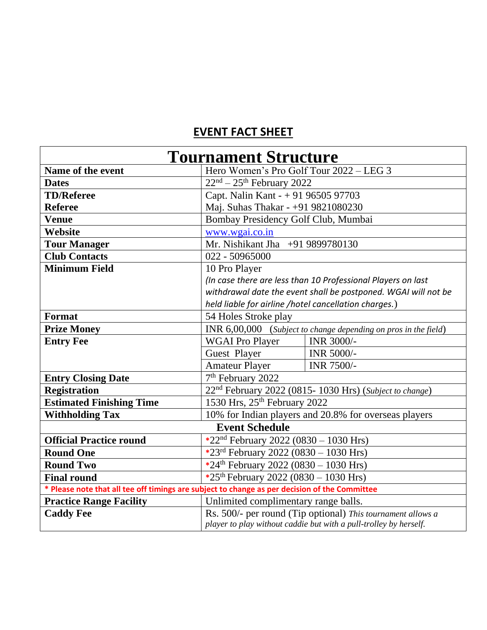## **EVENT FACT SHEET**

| <b>Tournament Structure</b>                                                                   |                                                                    |            |  |
|-----------------------------------------------------------------------------------------------|--------------------------------------------------------------------|------------|--|
| Name of the event                                                                             | Hero Women's Pro Golf Tour 2022 - LEG 3                            |            |  |
| <b>Dates</b>                                                                                  | $22nd - 25th$ February 2022                                        |            |  |
| <b>TD/Referee</b>                                                                             | Capt. Nalin Kant - + 91 96505 97703                                |            |  |
| <b>Referee</b>                                                                                | Maj. Suhas Thakar - +91 9821080230                                 |            |  |
| <b>Venue</b>                                                                                  | Bombay Presidency Golf Club, Mumbai                                |            |  |
| Website                                                                                       | www.wgai.co.in                                                     |            |  |
| <b>Tour Manager</b>                                                                           | Mr. Nishikant Jha +91 9899780130                                   |            |  |
| <b>Club Contacts</b>                                                                          | 022 - 50965000                                                     |            |  |
| <b>Minimum Field</b>                                                                          | 10 Pro Player                                                      |            |  |
|                                                                                               | (In case there are less than 10 Professional Players on last       |            |  |
|                                                                                               | withdrawal date the event shall be postponed. WGAI will not be     |            |  |
|                                                                                               | held liable for airline /hotel cancellation charges.)              |            |  |
| Format                                                                                        | 54 Holes Stroke play                                               |            |  |
| <b>Prize Money</b>                                                                            | INR 6,00,000 (Subject to change depending on pros in the field)    |            |  |
| <b>Entry Fee</b>                                                                              | <b>WGAI Pro Player</b>                                             | INR 3000/- |  |
|                                                                                               | Guest Player                                                       | INR 5000/- |  |
|                                                                                               | <b>Amateur Player</b>                                              | INR 7500/- |  |
| <b>Entry Closing Date</b>                                                                     | 7 <sup>th</sup> February 2022                                      |            |  |
| <b>Registration</b>                                                                           | 22 <sup>nd</sup> February 2022 (0815-1030 Hrs) (Subject to change) |            |  |
| <b>Estimated Finishing Time</b>                                                               | 1530 Hrs, 25th February 2022                                       |            |  |
| <b>Withholding Tax</b>                                                                        | 10% for Indian players and 20.8% for overseas players              |            |  |
| <b>Event Schedule</b>                                                                         |                                                                    |            |  |
| <b>Official Practice round</b>                                                                | *22 <sup>nd</sup> February 2022 (0830 – 1030 Hrs)                  |            |  |
| <b>Round One</b>                                                                              | *23rd February 2022 (0830 - 1030 Hrs)                              |            |  |
| <b>Round Two</b>                                                                              | *24 <sup>th</sup> February 2022 (0830 – 1030 Hrs)                  |            |  |
| <b>Final round</b>                                                                            | *25 <sup>th</sup> February 2022 (0830 – 1030 Hrs)                  |            |  |
| * Please note that all tee off timings are subject to change as per decision of the Committee |                                                                    |            |  |
| <b>Practice Range Facility</b>                                                                | Unlimited complimentary range balls.                               |            |  |
| <b>Caddy Fee</b>                                                                              | Rs. 500/- per round (Tip optional) This tournament allows a        |            |  |
|                                                                                               | player to play without caddie but with a pull-trolley by herself.  |            |  |